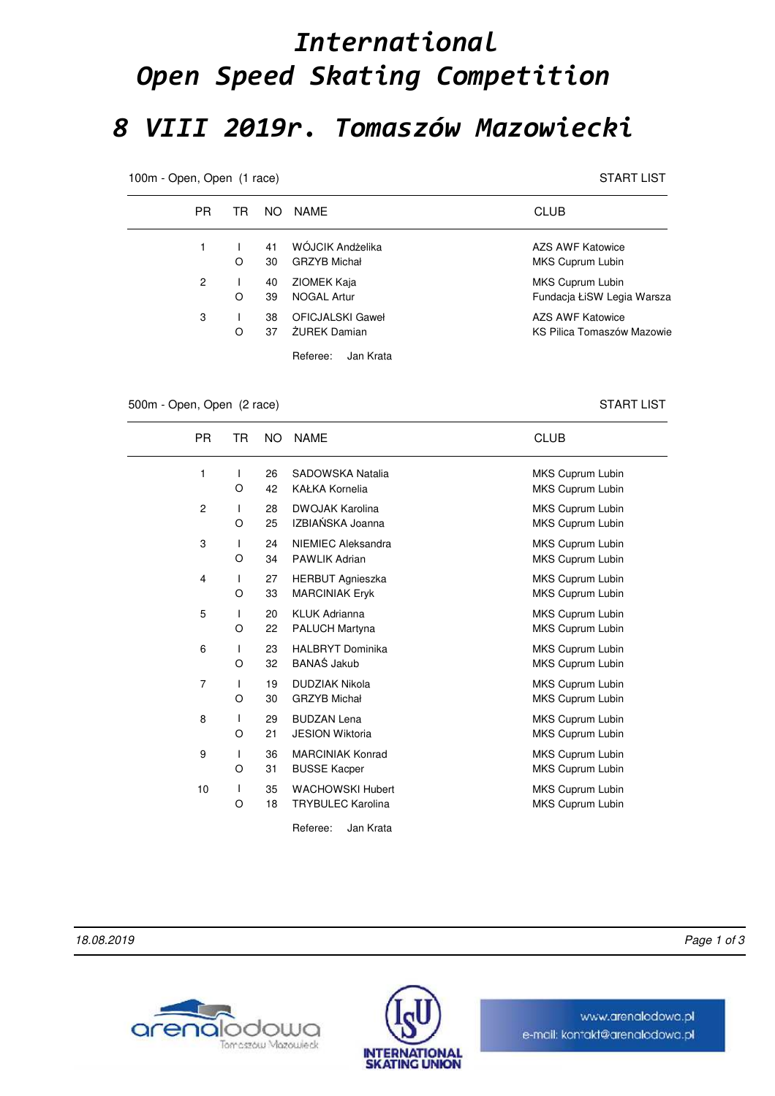## *International Open Speed Skating Competition 8 VIII 2019r. Tomaszów Mazowiecki*

100m - Open, Open (1 race) START LIST

| <b>PR</b> | TR. | NO.      | NAMF                                    | <b>CLUB</b>                                    |
|-----------|-----|----------|-----------------------------------------|------------------------------------------------|
| 1         | O   | 41<br>30 | WÓJCIK Andżelika<br><b>GRZYB Michał</b> | AZS AWF Katowice<br>MKS Cuprum Lubin           |
| 2         | O   | 40<br>39 | ZIOMEK Kaja<br><b>NOGAL Artur</b>       | MKS Cuprum Lubin<br>Fundacja ŁiSW Legia Warsza |
| 3         | O   | 38<br>37 | OFICJALSKI Gaweł<br><b>ŻUREK Damian</b> | AZS AWF Katowice<br>KS Pilica Tomaszów Mazowie |
|           |     |          | Referee:<br>Jan Krata                   |                                                |

## 500m - Open, Open (2 race) START LIST

PR TR NO NAME **CLUB** 1 26 SADOWSKA Natalia MKS Cuprum Lubin 42 KAŁKA Kornelia **MKS Cuprum Lubin** MKS Cuprum Lubin I O 2 1 28 DWOJAK Karolina 1 20 MKS Cuprum Lubin 25 IZBIAŃSKA Joanna MKS Cuprum Lubin I O 3 24 NIEMIEC Aleksandra MKS Cuprum Lubin 34 PAWLIK Adrian MKS Cuprum Lubin I O 4 1 27 HERBUT Agnieszka MKS Cuprum Lubin 33 MARCINIAK Eryk MKS Cuprum Lubin I O 5 1 20 KLUK Adrianna **MKS Cuprum Lubin** 22 PALUCH Martyna **MKS** Cuprum Lubin I O 6 1 23 HALBRYT Dominika MKS Cuprum Lubin 32 BANAŚ Jakub MKS Cuprum Lubin I O 7 1 19 DUDZIAK Nikola 19 19 MKS Cuprum Lubin 30 GRZYB Michał **MKS Cuprum Lubin** MKS Cuprum Lubin I O 8 1 29 BUDZAN Lena **MKS Cuprum Lubin** 21 JESION Wiktoria **MKS** Cuprum Lubin I O 9 1 36 MARCINIAK Konrad 19 MKS Cuprum Lubin 31 BUSSE Kacper MKS Cuprum Lubin I O 10 1 35 WACHOWSKI Hubert MKS Cuprum Lubin 18 TRYBULEC Karolina **MKS Cuprum Lubin** I O

Referee: Jan Krata

18.08.2019 Page 1 of 3





www.arenalodowo.pl e-mail: kontakt@arenalodowa.pl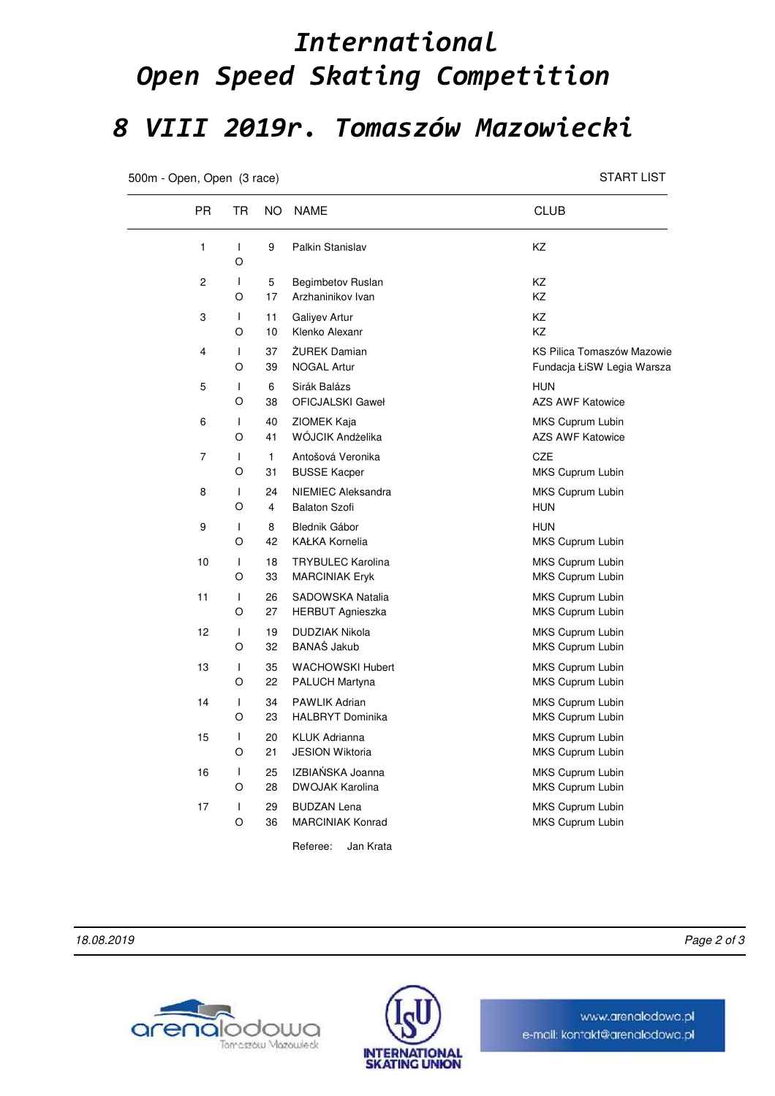## *International Open Speed Skating Competition 8 VIII 2019r. Tomaszów Mazowiecki*

500m - Open, Open (3 race) START LIST

| PR.            | TR                | NO.                  | <b>NAME</b>                                       | <b>CLUB</b>                                              |
|----------------|-------------------|----------------------|---------------------------------------------------|----------------------------------------------------------|
| 1              | T<br>O            | 9                    | Palkin Stanislav                                  | ΚZ                                                       |
| $\overline{c}$ | T<br>O            | 5<br>17              | Begimbetov Ruslan<br>Arzhaninikov Ivan            | <b>KZ</b><br><b>KZ</b>                                   |
| 3              | T<br>O            | 11<br>10             | Galiyev Artur<br>Klenko Alexanr                   | <b>KZ</b><br><b>KZ</b>                                   |
| 4              | T<br>O            | 37<br>39             | ŻUREK Damian<br><b>NOGAL Artur</b>                | KS Pilica Tomaszów Mazowie<br>Fundacja ŁiSW Legia Warsza |
| 5              | T<br>O            | 6<br>38              | Sirák Balázs<br>OFICJALSKI Gaweł                  | <b>HUN</b><br><b>AZS AWF Katowice</b>                    |
| 6              | T<br>O            | 40<br>41             | ZIOMEK Kaja<br>WÓJCIK Andżelika                   | MKS Cuprum Lubin<br><b>AZS AWF Katowice</b>              |
| 7              | T<br>O            | 1<br>31              | Antošová Veronika<br><b>BUSSE Kacper</b>          | <b>CZE</b><br>MKS Cuprum Lubin                           |
| 8              | T<br>O            | 24<br>$\overline{4}$ | NIEMIEC Aleksandra<br><b>Balaton Szofi</b>        | MKS Cuprum Lubin<br><b>HUN</b>                           |
| 9              | T<br>O            | 8<br>42              | Blednik Gábor<br><b>KAŁKA Kornelia</b>            | <b>HUN</b><br>MKS Cuprum Lubin                           |
| 10             | L<br>O            | 18<br>33             | <b>TRYBULEC Karolina</b><br><b>MARCINIAK Eryk</b> | MKS Cuprum Lubin<br>MKS Cuprum Lubin                     |
| 11             | $\mathbf{I}$<br>O | 26<br>27             | SADOWSKA Natalia<br><b>HERBUT Agnieszka</b>       | MKS Cuprum Lubin<br>MKS Cuprum Lubin                     |
| 12             | $\mathbf{I}$<br>O | 19<br>32             | <b>DUDZIAK Nikola</b><br><b>BANAS Jakub</b>       | MKS Cuprum Lubin<br>MKS Cuprum Lubin                     |
| 13             | T<br>O            | 35<br>22             | <b>WACHOWSKI Hubert</b><br><b>PALUCH Martyna</b>  | MKS Cuprum Lubin<br>MKS Cuprum Lubin                     |
| 14             | $\mathbf{I}$<br>O | 34<br>23             | <b>PAWLIK Adrian</b><br><b>HALBRYT Dominika</b>   | MKS Cuprum Lubin<br>MKS Cuprum Lubin                     |
| 15             | $\mathbf{I}$<br>O | 20<br>21             | <b>KLUK Adrianna</b><br><b>JESION Wiktoria</b>    | MKS Cuprum Lubin<br>MKS Cuprum Lubin                     |
| 16             | $\mathbf{I}$<br>O | 25<br>28             | IZBIAŃSKA Joanna<br><b>DWOJAK Karolina</b>        | MKS Cuprum Lubin<br>MKS Cuprum Lubin                     |
| 17             | T<br>O            | 29<br>36             | <b>BUDZAN Lena</b><br><b>MARCINIAK Konrad</b>     | MKS Cuprum Lubin<br>MKS Cuprum Lubin                     |
|                |                   |                      | Referee:<br>Jan Krata                             |                                                          |





www.arenalodowo.pl e-mail: kontakt@arenalodowa.pl

18.08.2019 Page 2 of 3